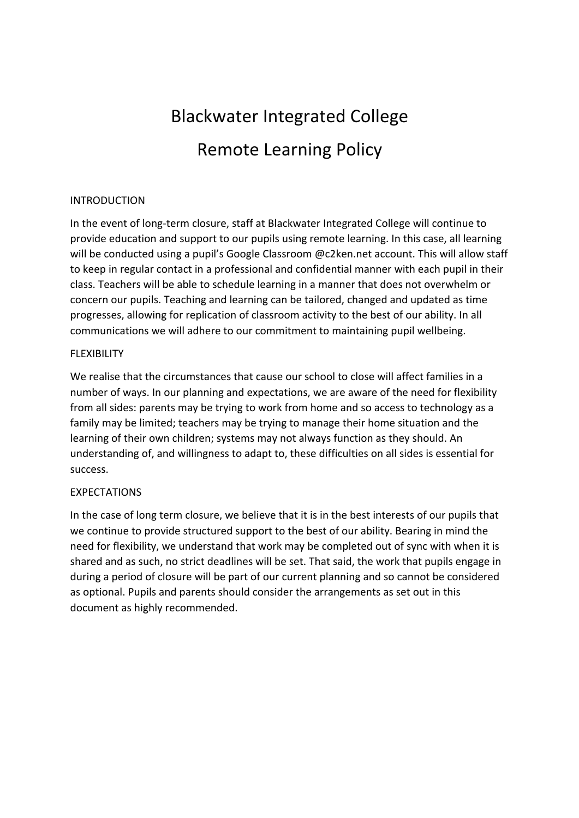# **Blackwater Integrated College Remote Learning Policy**

### INTRODUCTION

In the event of long-term closure, staff at Blackwater Integrated College will continue to provide education and support to our pupils using remote learning. In this case, all learning will be conducted using a pupil's Google Classroom @c2ken.net account. This will allow staff to keep in regular contact in a professional and confidential manner with each pupil in their class. Teachers will be able to schedule learning in a manner that does not overwhelm or concern our pupils. Teaching and learning can be tailored, changed and updated as time progresses, allowing for replication of classroom activity to the best of our ability. In all communications we will adhere to our commitment to maintaining pupil wellbeing.

#### FLEXIBILITY

We realise that the circumstances that cause our school to close will affect families in a number of ways. In our planning and expectations, we are aware of the need for flexibility from all sides: parents may be trying to work from home and so access to technology as a family may be limited; teachers may be trying to manage their home situation and the learning of their own children; systems may not always function as they should. An understanding of, and willingness to adapt to, these difficulties on all sides is essential for success.

# **EXPECTATIONS**

In the case of long term closure, we believe that it is in the best interests of our pupils that we continue to provide structured support to the best of our ability. Bearing in mind the need for flexibility, we understand that work may be completed out of sync with when it is shared and as such, no strict deadlines will be set. That said, the work that pupils engage in during a period of closure will be part of our current planning and so cannot be considered as optional. Pupils and parents should consider the arrangements as set out in this document as highly recommended.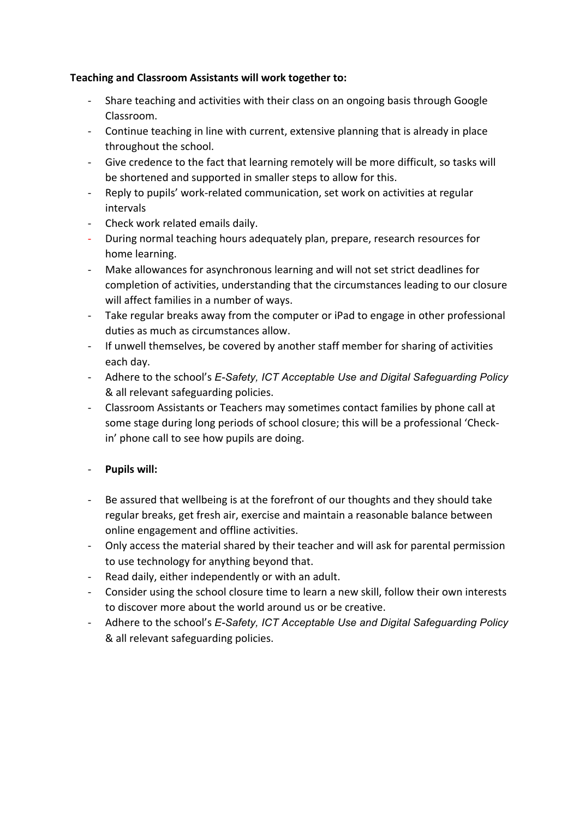# Teaching and Classroom Assistants will work together to:

- Share teaching and activities with their class on an ongoing basis through Google Classroom.
- Continue teaching in line with current, extensive planning that is already in place throughout the school.
- Give credence to the fact that learning remotely will be more difficult, so tasks will be shortened and supported in smaller steps to allow for this.
- Reply to pupils' work-related communication, set work on activities at regular intervals
- Check work related emails daily.
- During normal teaching hours adequately plan, prepare, research resources for home learning.
- Make allowances for asynchronous learning and will not set strict deadlines for completion of activities, understanding that the circumstances leading to our closure will affect families in a number of ways.
- Take regular breaks away from the computer or iPad to engage in other professional duties as much as circumstances allow.
- If unwell themselves, be covered by another staff member for sharing of activities each day.
- Adhere to the school's *E-Safety, ICT Acceptable Use and Digital Safeguarding Policy* & all relevant safeguarding policies.
- Classroom Assistants or Teachers may sometimes contact families by phone call at some stage during long periods of school closure; this will be a professional 'Checkin' phone call to see how pupils are doing.
- **Pupils will:**
- Be assured that wellbeing is at the forefront of our thoughts and they should take regular breaks, get fresh air, exercise and maintain a reasonable balance between online engagement and offline activities.
- Only access the material shared by their teacher and will ask for parental permission to use technology for anything beyond that.
- Read daily, either independently or with an adult.
- Consider using the school closure time to learn a new skill, follow their own interests to discover more about the world around us or be creative.
- Adhere to the school's E-Safety, ICT Acceptable Use and Digital Safeguarding Policy & all relevant safeguarding policies.